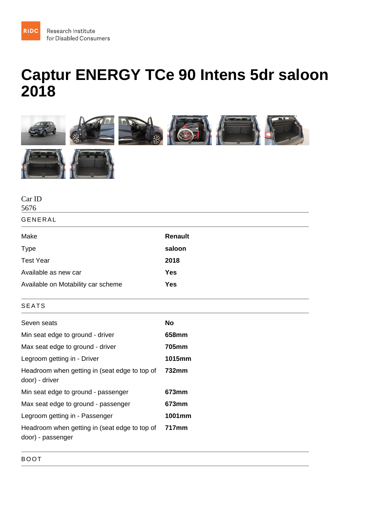## Captur ENERGY TCe 90 Intens 5dr saloon 2018

| Car ID<br>5676                                                     |         |
|--------------------------------------------------------------------|---------|
| <b>GENERAL</b>                                                     |         |
| Make                                                               | Renault |
| <b>Type</b>                                                        | saloon  |
| <b>Test Year</b>                                                   | 2018    |
| Available as new car                                               | Yes     |
| Available on Motability car scheme                                 | Yes     |
| <b>SEATS</b>                                                       |         |
| Seven seats                                                        | No      |
| Min seat edge to ground - driver                                   | 658mm   |
| Max seat edge to ground - driver                                   | 705mm   |
| Legroom getting in - Driver                                        | 1015mm  |
| Headroom when getting in (seat edge to top of<br>door) - driver    | 732mm   |
| Min seat edge to ground - passenger                                | 673mm   |
| Max seat edge to ground - passenger                                | 673mm   |
| Legroom getting in - Passenger                                     | 1001mm  |
| Headroom when getting in (seat edge to top of<br>door) - passenger | 717mm   |